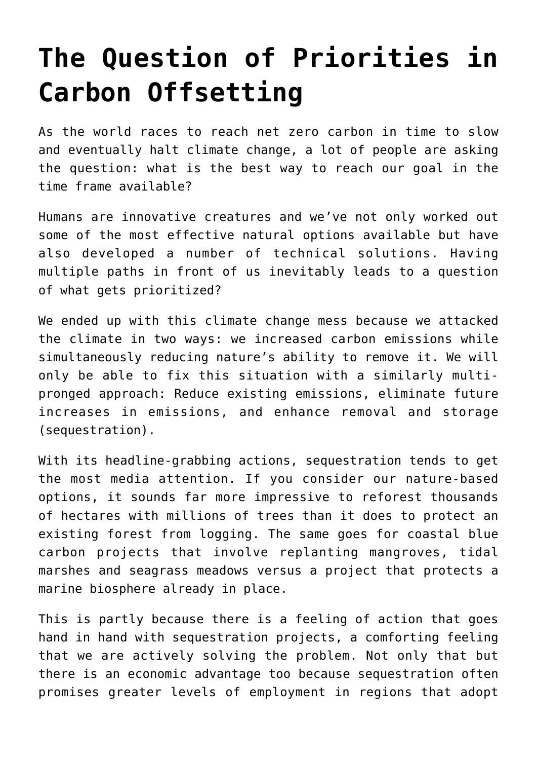## **[The Question of Priorities in](https://investorintel.com/markets/cleantech/cleantech-intel/the-question-of-priorities-in-carbon-offsetting/) [Carbon Offsetting](https://investorintel.com/markets/cleantech/cleantech-intel/the-question-of-priorities-in-carbon-offsetting/)**

As the world races to reach net zero carbon in time to slow and eventually halt climate change, a lot of people are asking the question: what is the best way to reach our goal in the time frame available?

Humans are innovative creatures and we've not only worked out some of the most effective natural options available but have also developed a number of technical solutions. Having multiple paths in front of us inevitably leads to a question of what gets prioritized?

We ended up with this climate change mess because we attacked the climate in two ways: we increased carbon emissions while simultaneously reducing nature's ability to remove it. We will only be able to fix this situation with a similarly multipronged approach: Reduce existing emissions, eliminate future increases in emissions, and enhance removal and storage (sequestration).

With its headline-grabbing actions, sequestration tends to get the most media attention. If you consider our nature-based options, it sounds far more impressive to reforest thousands of hectares with millions of trees than it does to protect an existing forest from logging. The same goes for coastal blue carbon projects that involve replanting mangroves, tidal marshes and seagrass meadows versus a project that protects a marine biosphere already in place.

This is partly because there is a feeling of action that goes hand in hand with sequestration projects, a comforting feeling that we are actively solving the problem. Not only that but there is an economic advantage too because sequestration often promises greater levels of employment in regions that adopt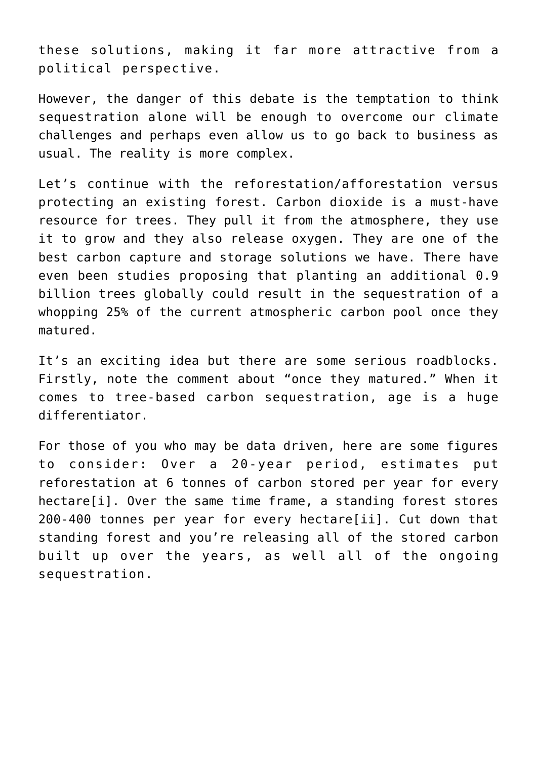these solutions, making it far more attractive from a political perspective.

However, the danger of this debate is the temptation to think sequestration alone will be enough to overcome our climate challenges and perhaps even allow us to go back to business as usual. The reality is more complex.

Let's continue with the reforestation/afforestation versus protecting an existing forest. Carbon dioxide is a must-have resource for trees. They pull it from the atmosphere, they use it to grow and they also release oxygen. They are one of the best carbon capture and storage solutions we have. There have even been [studies proposing](https://www.science.org/doi/10.1126/science.aax0848) that planting an additional 0.9 billion trees globally could result in the sequestration of a whopping 25% of the current atmospheric carbon pool once they matured.

It's an exciting idea but there are some serious roadblocks. Firstly, note the comment about "once they matured." When it comes to tree-based carbon sequestration, age is a huge differentiator.

<span id="page-1-1"></span><span id="page-1-0"></span>For those of you who may be data driven, here are some figures to consider: Over a 20-year period, estimates put reforestation at 6 tonnes of carbon stored per year for every hectare[\[i\].](#page-3-0) Over the same time frame, a standing forest stores 200-400 tonnes per year for every hectare[\[ii\].](#page-4-0) Cut down that standing forest and you're releasing all of the stored carbon built up over the years, as well all of the ongoing sequestration.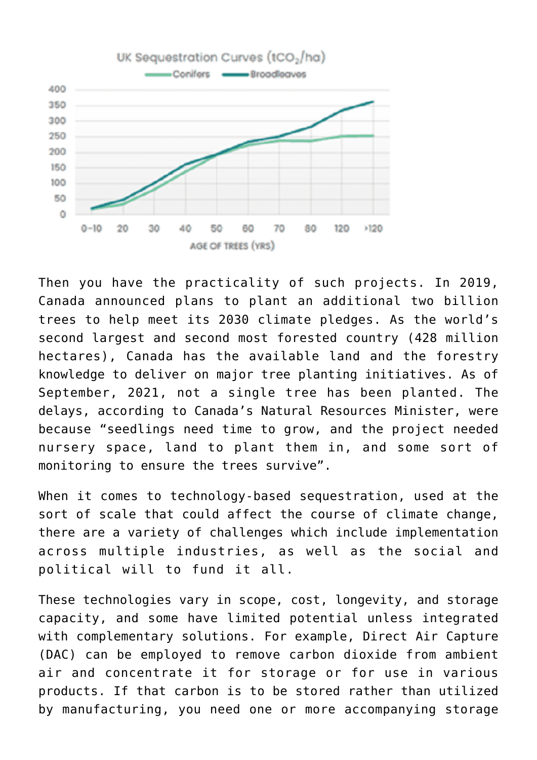

Then you have the practicality of such projects. In 2019, Canada announced plans to plant an additional two billion trees to help meet its 2030 climate pledges. As the world's second largest and second most forested country ([428 million](https://www.globalforestwatch.org/dashboards/country/CAN/?category=land-cover&location=WyJjb3VudHJ5IiwiQ0FOIl0%3D&map=eyJjZW50ZXIiOnsibGF0Ijo1Ni41MTEwMjUzMDk1MTY3NzUsImxuZyI6LTk2LjgzMDgyMzkwMDAwMjQzfSwiY2FuQm91bmQiOmZhbHNlLCJkYXRhc2V0cyI6W3siZGF0YXNldCI6InBvbGl0aWNhbC1ib3VuZGFyaWVzIiwibGF5ZXJzIjpbImRpc3B1dGVkLXBvbGl0aWNhbC1ib3VuZGFyaWVzIiwicG9saXRpY2FsLWJvdW5kYXJpZXMiXSwiYm91bmRhcnkiOnRydWUsIm9wYWNpdHkiOjEsInZpc2liaWxpdHkiOnRydWV9LHsiZGF0YXNldCI6InRyZWUtY292ZXIiLCJsYXllcnMiOlsidHJlZS1jb3Zlci0yMDAwIl0sIm9wYWNpdHkiOjEsInZpc2liaWxpdHkiOnRydWUsInBhcmFtcyI6eyJ0aHJlc2hvbGQiOjMwLCJ2aXNpYmlsaXR5Ijp0cnVlfX1dfQ%3D%3D&showMap=true) [hectares](https://www.globalforestwatch.org/dashboards/country/CAN/?category=land-cover&location=WyJjb3VudHJ5IiwiQ0FOIl0%3D&map=eyJjZW50ZXIiOnsibGF0Ijo1Ni41MTEwMjUzMDk1MTY3NzUsImxuZyI6LTk2LjgzMDgyMzkwMDAwMjQzfSwiY2FuQm91bmQiOmZhbHNlLCJkYXRhc2V0cyI6W3siZGF0YXNldCI6InBvbGl0aWNhbC1ib3VuZGFyaWVzIiwibGF5ZXJzIjpbImRpc3B1dGVkLXBvbGl0aWNhbC1ib3VuZGFyaWVzIiwicG9saXRpY2FsLWJvdW5kYXJpZXMiXSwiYm91bmRhcnkiOnRydWUsIm9wYWNpdHkiOjEsInZpc2liaWxpdHkiOnRydWV9LHsiZGF0YXNldCI6InRyZWUtY292ZXIiLCJsYXllcnMiOlsidHJlZS1jb3Zlci0yMDAwIl0sIm9wYWNpdHkiOjEsInZpc2liaWxpdHkiOnRydWUsInBhcmFtcyI6eyJ0aHJlc2hvbGQiOjMwLCJ2aXNpYmlsaXR5Ijp0cnVlfX1dfQ%3D%3D&showMap=true)), Canada has the available land and the forestry knowledge to deliver on major tree planting initiatives. As of September, 2021, not a single tree has been planted. [The](https://financialpost.com/diane-francis/diane-francis-trudeaus-two-billion-tree-promise-nothing-but-greenwashing) [delays,](https://financialpost.com/diane-francis/diane-francis-trudeaus-two-billion-tree-promise-nothing-but-greenwashing) according to Canada's Natural Resources Minister, were because "seedlings need time to grow, and the project needed nursery space, land to plant them in, and some sort of monitoring to ensure the trees survive".

When it comes to technology-based sequestration, used at the sort of scale that could affect the course of climate change, there are a variety of challenges which include implementation across multiple industries, as well as the social and political will to fund it all.

These technologies vary in scope, cost, longevity, and storage capacity, and some have limited potential unless integrated with complementary solutions. For example, Direct Air Capture (DAC) can be employed to remove carbon dioxide from ambient air and concentrate it for storage or for use in various products. If that carbon is to be stored rather than utilized by manufacturing, you need one or more accompanying storage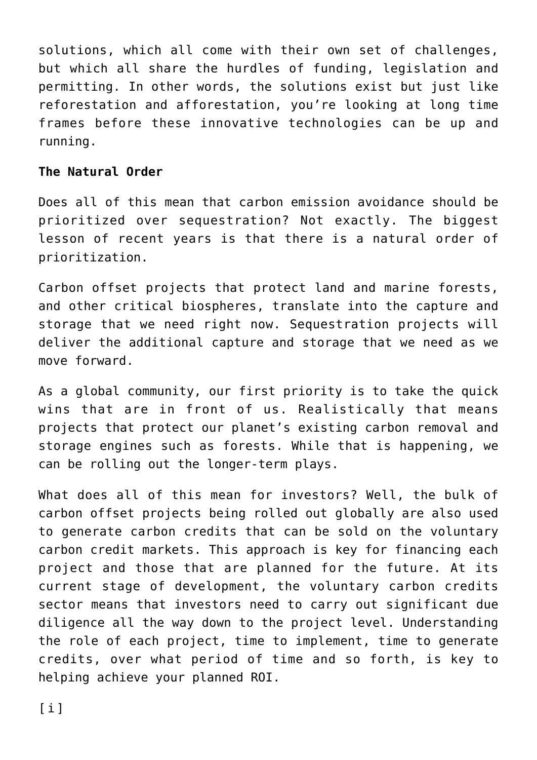solutions, which all come with their own set of challenges, but which all share the hurdles of funding, legislation and permitting. In other words, the solutions exist but just like reforestation and afforestation, you're looking at long time frames before these innovative technologies can be up and running.

## **The Natural Order**

Does all of this mean that carbon emission avoidance should be prioritized over sequestration? Not exactly. The biggest lesson of recent years is that there is a natural order of prioritization.

[Carbon offset projects](https://investorintel.com/investorintel-video/justin-cochrane-from-carbon-streaming-with-chris-thompson-on-accessing-the-capital-markets-to-help-fight-climate-change/) that protect land and marine forests, and other critical biospheres, translate into the capture and storage that we need right now. Sequestration projects will deliver the additional capture and storage that we need as we move forward.

As a global community, our first priority is to take the quick wins that are in front of us. Realistically that means projects that protect our planet's existing carbon removal and storage engines such as forests. While that is happening, we can be rolling out the longer-term plays.

<span id="page-3-0"></span>What does all of this mean for investors? Well, the bulk of carbon offset projects being rolled out globally are also used to generate carbon credits that can be sold on the voluntary carbon credit markets. This approach is key for financing each project and those that are planned for the future. At its current stage of development, the voluntary carbon credits sector means that investors need to carry out significant due diligence all the way down to the project level. Understanding the role of each project, time to implement, time to generate credits, over what period of time and so forth, is key to helping achieve your planned ROI.